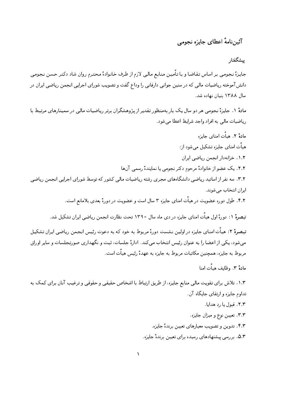## آئين نامهٔ اعطاي جايزه نجومي

## يبشگفتار

جايزة نجومي بر اساس تقاضا و با تأمين منابع ماليي لازم از طرف خانوادة محترم روان شاد دكتر حسن نجومي دانش آموخته ریاضیات مالی که در سنین جوانی دارفانی را وداع گفت و تصویب شورای اجرایی انجمن ریاضی ایران در سال ۱۳۸۸ ىنيان نهاده شد.

مادهٔ ۱. جایزهٔ نجومی هر دو سال یک بار بهمنظور تقدیر از پژوهشگران برتر ریاضیات مالی در سمینارهای مرتبط با رياضيات مالي به افراد واجد شرايط اعطا مي شود.

مادةً ٢. هيأت امناي جايزه هیاّت امنای جایزه تشکیل می شود از: ١.٢. خزانهدار انجمن رياضي ايران ٢.٢. يک عضو از خانوادهٔ مرحوم دکتر نجومی يا نمايندهٔ رسمي آنها ۳.۲. سه نفر از اساتید ریاضی دانشگاههای مجری رشته ریاضیات مالی کشور که توسط شورای اجرایی انجمن ریاضی ایران انتخاب مے شوند. ۴.۲. طول دوره عضویت در هیأت امنای جایزه ۳ سال است و عضویت در دورهٔ بعدی بلامانع است.

تبصرهٔ ۱: دورهٔ اول هیأت امنای جایزه در دی ماه سال ۱۳۹۰ تحت نظارت انجمن ریاضی ایران تشکیل شد.

تبصرهٔ ۲: هیأت امنای جایزه در اولین نشست دورهٔ مربوط به خود که به دعوت رئیس انجمن ریاضی ایران تشکیل می شود، یکی از اعضا را به عنوان رئیس انتخاب می کند. ادارهٔ جلسات، ثبت و نگهداری صورتجلسات و سایر اوراق مربوط به جایزه، همچنین مکاتبات مربوط به جایزه به عهدهٔ رئیس هیأت است.

مادةً ٣. وظايف هيأت امنا

۱.۳. تلاش برای تقویت مالی منابع جایزه، از طریق ارتباط با اشخاص حقیقی و حقوقی و ترغیب آنان برای کمک به تداوم جایزه و ارتقای جایگاه آن.

٢.٣. قبول يا رد هدايا.

۰۳.۳ تعیین نوع و میزان جایزه.

۴.۳. تدوین و تصویب معیارهای تعیین برندهٔ جایزه.

۵.۳. بررسی پیشنهادهای رسیده برای تعیین برندهٔ جایزه.